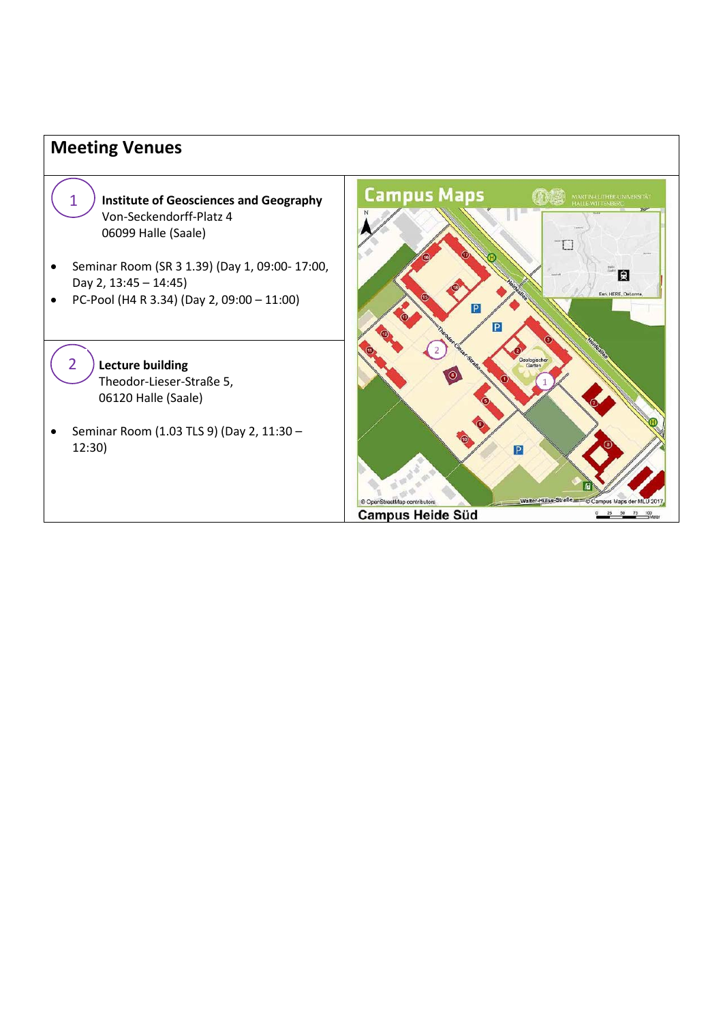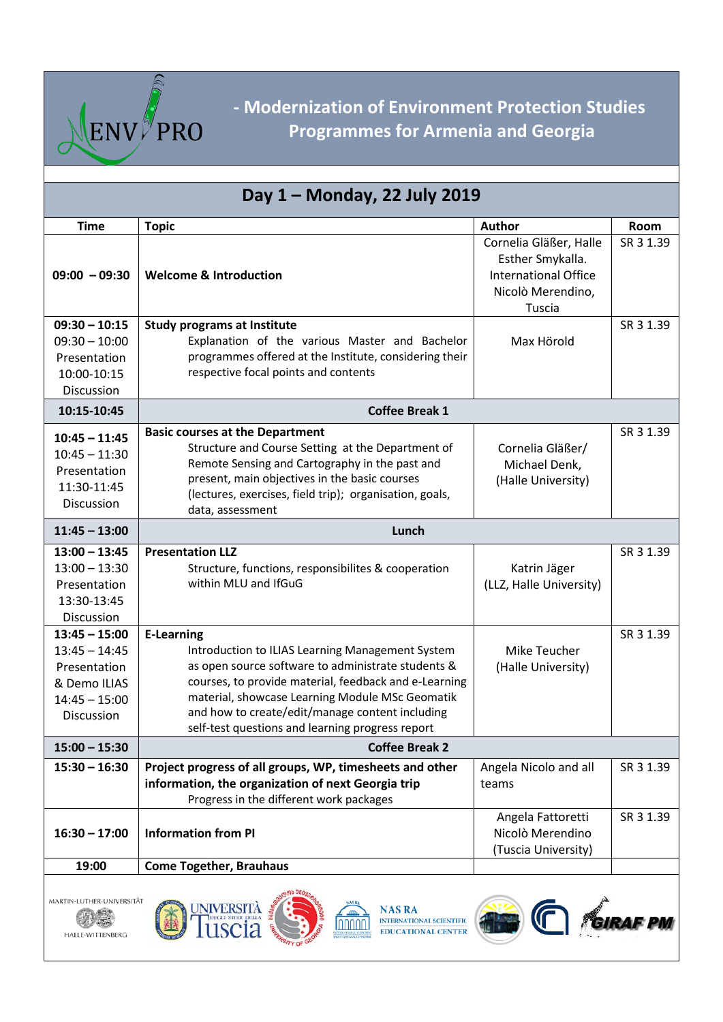

## **- Modernization of Environment Protection Studies Programmes for Armenia and Georgia**

| Day 1 - Monday, 22 July 2019 |                                                                                                        |                             |           |  |  |
|------------------------------|--------------------------------------------------------------------------------------------------------|-----------------------------|-----------|--|--|
| <b>Time</b>                  | <b>Topic</b>                                                                                           | Author                      | Room      |  |  |
|                              |                                                                                                        | Cornelia Gläßer, Halle      | SR 3 1.39 |  |  |
|                              |                                                                                                        | Esther Smykalla.            |           |  |  |
| $09:00 - 09:30$              | <b>Welcome &amp; Introduction</b>                                                                      | <b>International Office</b> |           |  |  |
|                              |                                                                                                        | Nicolò Merendino,           |           |  |  |
|                              |                                                                                                        | Tuscia                      |           |  |  |
| $09:30 - 10:15$              | <b>Study programs at Institute</b>                                                                     |                             | SR 3 1.39 |  |  |
| $09:30 - 10:00$              | Explanation of the various Master and Bachelor                                                         | Max Hörold                  |           |  |  |
| Presentation                 | programmes offered at the Institute, considering their<br>respective focal points and contents         |                             |           |  |  |
| 10:00-10:15<br>Discussion    |                                                                                                        |                             |           |  |  |
| 10:15-10:45                  | <b>Coffee Break 1</b>                                                                                  |                             |           |  |  |
|                              |                                                                                                        |                             | SR 3 1.39 |  |  |
| $10:45 - 11:45$              | <b>Basic courses at the Department</b><br>Structure and Course Setting at the Department of            | Cornelia Gläßer/            |           |  |  |
| $10:45 - 11:30$              | Remote Sensing and Cartography in the past and                                                         | Michael Denk,               |           |  |  |
| Presentation                 | present, main objectives in the basic courses                                                          | (Halle University)          |           |  |  |
| 11:30-11:45                  | (lectures, exercises, field trip); organisation, goals,                                                |                             |           |  |  |
| Discussion                   | data, assessment                                                                                       |                             |           |  |  |
| $11:45 - 13:00$              | Lunch                                                                                                  |                             |           |  |  |
| $13:00 - 13:45$              | <b>Presentation LLZ</b>                                                                                |                             | SR 3 1.39 |  |  |
| $13:00 - 13:30$              | Structure, functions, responsibilites & cooperation                                                    | Katrin Jäger                |           |  |  |
| Presentation                 | within MLU and IfGuG                                                                                   | (LLZ, Halle University)     |           |  |  |
| 13:30-13:45                  |                                                                                                        |                             |           |  |  |
| Discussion                   |                                                                                                        |                             |           |  |  |
| $13:45 - 15:00$              | <b>E-Learning</b>                                                                                      |                             | SR 3 1.39 |  |  |
| $13:45 - 14:45$              | Introduction to ILIAS Learning Management System<br>as open source software to administrate students & | Mike Teucher                |           |  |  |
| Presentation<br>& Demo ILIAS | courses, to provide material, feedback and e-Learning                                                  | (Halle University)          |           |  |  |
| $14:45 - 15:00$              | material, showcase Learning Module MSc Geomatik                                                        |                             |           |  |  |
| Discussion                   | and how to create/edit/manage content including                                                        |                             |           |  |  |
|                              | self-test questions and learning progress report                                                       |                             |           |  |  |
| $15:00 - 15:30$              | <b>Coffee Break 2</b>                                                                                  |                             |           |  |  |
| $15:30 - 16:30$              | Project progress of all groups, WP, timesheets and other                                               | Angela Nicolo and all       | SR 3 1.39 |  |  |
|                              | information, the organization of next Georgia trip                                                     | teams                       |           |  |  |
|                              | Progress in the different work packages                                                                |                             |           |  |  |
|                              |                                                                                                        | Angela Fattoretti           | SR 3 1.39 |  |  |
| $16:30 - 17:00$              | <b>Information from PI</b>                                                                             | Nicolò Merendino            |           |  |  |
|                              |                                                                                                        | (Tuscia University)         |           |  |  |
| 19:00                        | <b>Come Together, Brauhaus</b>                                                                         |                             |           |  |  |
|                              |                                                                                                        |                             |           |  |  |





AND MAS RA